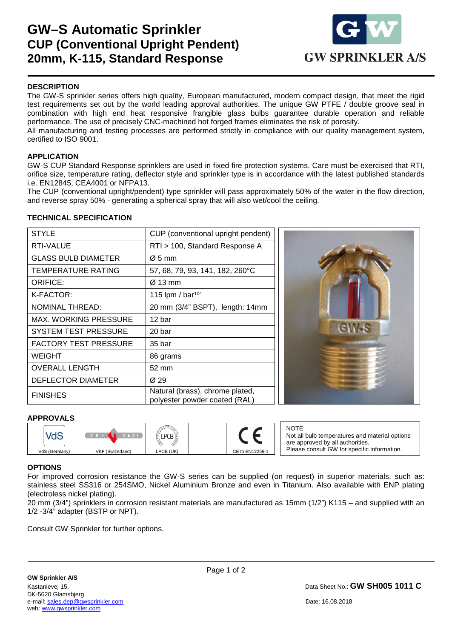# **GW–S Automatic Sprinkler CUP (Conventional Upright Pendent) 20mm, K-115, Standard Response**



### **DESCRIPTION**

The GW-S sprinkler series offers high quality, European manufactured, modern compact design, that meet the rigid test requirements set out by the world leading approval authorities. The unique GW PTFE / double groove seal in combination with high end heat responsive frangible glass bulbs guarantee durable operation and reliable performance. The use of precisely CNC-machined hot forged frames eliminates the risk of porosity.

All manufacturing and testing processes are performed strictly in compliance with our quality management system, certified to ISO 9001.

### **APPLICATION**

GW-S CUP Standard Response sprinklers are used in fixed fire protection systems. Care must be exercised that RTI, orifice size, temperature rating, deflector style and sprinkler type is in accordance with the latest published standards i.e. EN12845, CEA4001 or NFPA13.

The CUP (conventional upright/pendent) type sprinkler will pass approximately 50% of the water in the flow direction, and reverse spray 50% - generating a spherical spray that will also wet/cool the ceiling.

#### **TECHNICAL SPECIFICATION**

| <b>STYLE</b>                 | CUP (conventional upright pendent)                               |  |  |
|------------------------------|------------------------------------------------------------------|--|--|
| RTI-VALUE                    | RTI > 100, Standard Response A                                   |  |  |
| GLASS BULB DIAMETER          | $\varnothing$ 5 mm                                               |  |  |
| TEMPERATURE RATING           | 57, 68, 79, 93, 141, 182, 260°C                                  |  |  |
| <b>ORIFICE:</b>              | Ø 13 mm                                                          |  |  |
| K-FACTOR:                    | 115 lpm / bar <sup>1/2</sup>                                     |  |  |
| <b>NOMINAL THREAD:</b>       | 20 mm (3/4" BSPT), length: 14mm                                  |  |  |
| MAX. WORKING PRESSURE        | 12 bar                                                           |  |  |
| <b>SYSTEM TEST PRESSURE</b>  | 20 bar                                                           |  |  |
| <b>FACTORY TEST PRESSURE</b> | 35 bar                                                           |  |  |
| WEIGHT                       | 86 grams                                                         |  |  |
| <b>OVERALL LENGTH</b>        | 52 mm                                                            |  |  |
| DEFLECTOR DIAMETER           | Ø 29                                                             |  |  |
| <b>FINISHES</b>              | Natural (brass), chrome plated,<br>polyester powder coated (RAL) |  |  |



### **APPROVALS**

|               | <b>LEAI</b>      |           |                 |
|---------------|------------------|-----------|-----------------|
| VdS (Germany) | VKF (Swizerland) | LPCB (UK) | CE to EN12259-1 |

NOTE: Not all bulb temperatures and material options are approved by all authorities. Please consult GW for specific information.

### **OPTIONS**

1

For improved corrosion resistance the GW-S series can be supplied (on request) in superior materials, such as: stainless steel SS316 or 254SMO, Nickel Aluminium Bronze and even in Titanium. Also available with ENP plating (electroless nickel plating).

20 mm (3/4") sprinklers in corrosion resistant materials are manufactured as 15mm (1/2") K115 – and supplied with an 1/2 -3/4" adapter (BSTP or NPT).

Consult GW Sprinkler for further options.